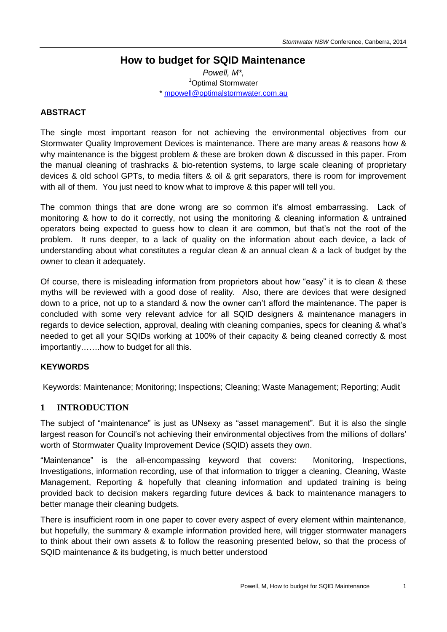## **How to budget for SQID Maintenance**

*Powell, M\*,* <sup>1</sup>Optimal Stormwater \* [mpowell@optimalstormwater.com.au](mailto:mpowell@optimalstormwater.com.au)

#### **ABSTRACT**

The single most important reason for not achieving the environmental objectives from our Stormwater Quality Improvement Devices is maintenance. There are many areas & reasons how & why maintenance is the biggest problem & these are broken down & discussed in this paper. From the manual cleaning of trashracks & bio-retention systems, to large scale cleaning of proprietary devices & old school GPTs, to media filters & oil & grit separators, there is room for improvement with all of them. You just need to know what to improve & this paper will tell you.

The common things that are done wrong are so common it's almost embarrassing. Lack of monitoring & how to do it correctly, not using the monitoring & cleaning information & untrained operators being expected to guess how to clean it are common, but that's not the root of the problem. It runs deeper, to a lack of quality on the information about each device, a lack of understanding about what constitutes a regular clean & an annual clean & a lack of budget by the owner to clean it adequately.

Of course, there is misleading information from proprietors about how "easy" it is to clean & these myths will be reviewed with a good dose of reality. Also, there are devices that were designed down to a price, not up to a standard & now the owner can't afford the maintenance. The paper is concluded with some very relevant advice for all SQID designers & maintenance managers in regards to device selection, approval, dealing with cleaning companies, specs for cleaning & what's needed to get all your SQIDs working at 100% of their capacity & being cleaned correctly & most importantly…….how to budget for all this.

#### **KEYWORDS**

Keywords: Maintenance; Monitoring; Inspections; Cleaning; Waste Management; Reporting; Audit

### **1 INTRODUCTION**

The subject of "maintenance" is just as UNsexy as "asset management". But it is also the single largest reason for Council's not achieving their environmental objectives from the millions of dollars' worth of Stormwater Quality Improvement Device (SQID) assets they own.

"Maintenance" is the all-encompassing keyword that covers: Monitoring, Inspections, Investigations, information recording, use of that information to trigger a cleaning, Cleaning, Waste Management, Reporting & hopefully that cleaning information and updated training is being provided back to decision makers regarding future devices & back to maintenance managers to better manage their cleaning budgets.

There is insufficient room in one paper to cover every aspect of every element within maintenance, but hopefully, the summary & example information provided here, will trigger stormwater managers to think about their own assets & to follow the reasoning presented below, so that the process of SQID maintenance & its budgeting, is much better understood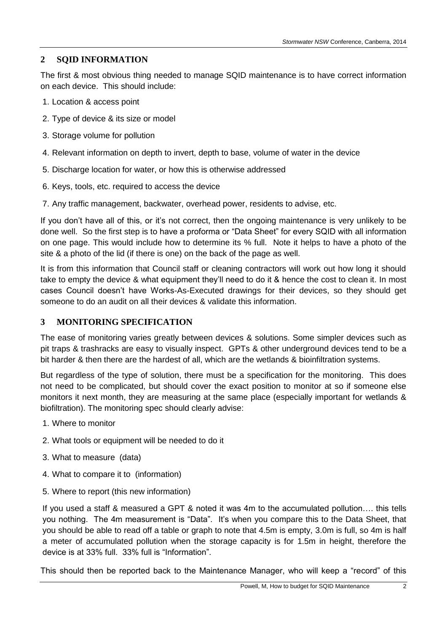## **2 SQID INFORMATION**

The first & most obvious thing needed to manage SQID maintenance is to have correct information on each device. This should include:

- 1. Location & access point
- 2. Type of device & its size or model
- 3. Storage volume for pollution
- 4. Relevant information on depth to invert, depth to base, volume of water in the device
- 5. Discharge location for water, or how this is otherwise addressed
- 6. Keys, tools, etc. required to access the device
- 7. Any traffic management, backwater, overhead power, residents to advise, etc.

If you don't have all of this, or it's not correct, then the ongoing maintenance is very unlikely to be done well. So the first step is to have a proforma or "Data Sheet" for every SQID with all information on one page. This would include how to determine its % full. Note it helps to have a photo of the site & a photo of the lid (if there is one) on the back of the page as well.

It is from this information that Council staff or cleaning contractors will work out how long it should take to empty the device & what equipment they'll need to do it & hence the cost to clean it. In most cases Council doesn't have Works-As-Executed drawings for their devices, so they should get someone to do an audit on all their devices & validate this information.

### **3 MONITORING SPECIFICATION**

The ease of monitoring varies greatly between devices & solutions. Some simpler devices such as pit traps & trashracks are easy to visually inspect. GPTs & other underground devices tend to be a bit harder & then there are the hardest of all, which are the wetlands & bioinfiltration systems.

But regardless of the type of solution, there must be a specification for the monitoring. This does not need to be complicated, but should cover the exact position to monitor at so if someone else monitors it next month, they are measuring at the same place (especially important for wetlands & biofiltration). The monitoring spec should clearly advise:

- 1. Where to monitor
- 2. What tools or equipment will be needed to do it
- 3. What to measure (data)
- 4. What to compare it to (information)
- 5. Where to report (this new information)

If you used a staff & measured a GPT & noted it was 4m to the accumulated pollution…. this tells you nothing. The 4m measurement is "Data". It's when you compare this to the Data Sheet, that you should be able to read off a table or graph to note that 4.5m is empty, 3.0m is full, so 4m is half a meter of accumulated pollution when the storage capacity is for 1.5m in height, therefore the device is at 33% full. 33% full is "Information".

This should then be reported back to the Maintenance Manager, who will keep a "record" of this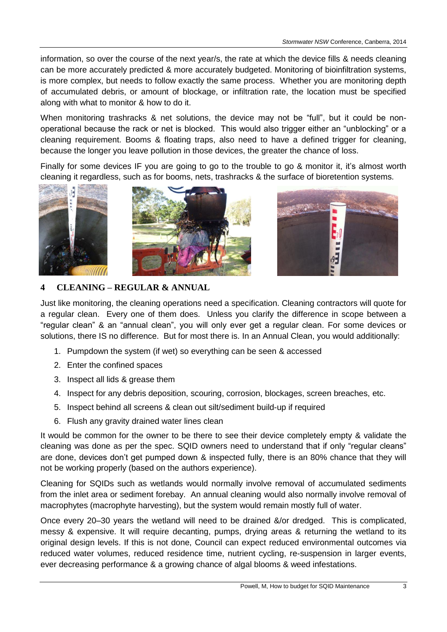information, so over the course of the next year/s, the rate at which the device fills & needs cleaning can be more accurately predicted & more accurately budgeted. Monitoring of bioinfiltration systems, is more complex, but needs to follow exactly the same process. Whether you are monitoring depth of accumulated debris, or amount of blockage, or infiltration rate, the location must be specified along with what to monitor & how to do it.

When monitoring trashracks & net solutions, the device may not be "full", but it could be nonoperational because the rack or net is blocked. This would also trigger either an "unblocking" or a cleaning requirement. Booms & floating traps, also need to have a defined trigger for cleaning, because the longer you leave pollution in those devices, the greater the chance of loss.

Finally for some devices IF you are going to go to the trouble to go & monitor it, it's almost worth cleaning it regardless, such as for booms, nets, trashracks & the surface of bioretention systems.



## **4 CLEANING – REGULAR & ANNUAL**

Just like monitoring, the cleaning operations need a specification. Cleaning contractors will quote for a regular clean. Every one of them does. Unless you clarify the difference in scope between a "regular clean" & an "annual clean", you will only ever get a regular clean. For some devices or solutions, there IS no difference. But for most there is. In an Annual Clean, you would additionally:

- 1. Pumpdown the system (if wet) so everything can be seen & accessed
- 2. Enter the confined spaces
- 3. Inspect all lids & grease them
- 4. Inspect for any debris deposition, scouring, corrosion, blockages, screen breaches, etc.
- 5. Inspect behind all screens & clean out silt/sediment build-up if required
- 6. Flush any gravity drained water lines clean

It would be common for the owner to be there to see their device completely empty & validate the cleaning was done as per the spec. SQID owners need to understand that if only "regular cleans" are done, devices don't get pumped down & inspected fully, there is an 80% chance that they will not be working properly (based on the authors experience).

Cleaning for SQIDs such as wetlands would normally involve removal of accumulated sediments from the inlet area or sediment forebay. An annual cleaning would also normally involve removal of macrophytes (macrophyte harvesting), but the system would remain mostly full of water.

Once every 20–30 years the wetland will need to be drained &/or dredged. This is complicated, messy & expensive. It will require decanting, pumps, drying areas & returning the wetland to its original design levels. If this is not done, Council can expect reduced environmental outcomes via reduced water volumes, reduced residence time, nutrient cycling, re-suspension in larger events, ever decreasing performance & a growing chance of algal blooms & weed infestations.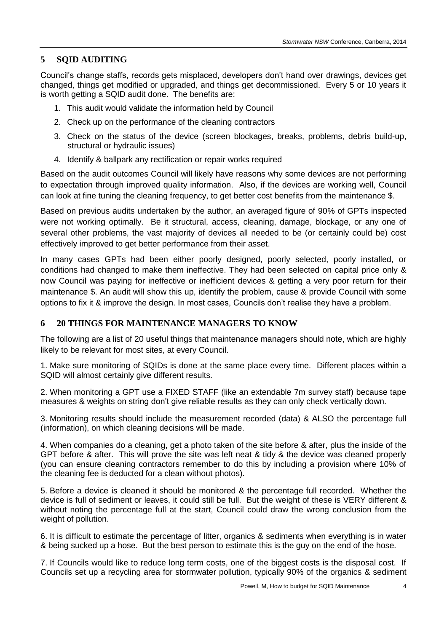#### **5 SQID AUDITING**

Council's change staffs, records gets misplaced, developers don't hand over drawings, devices get changed, things get modified or upgraded, and things get decommissioned. Every 5 or 10 years it is worth getting a SQID audit done. The benefits are:

- 1. This audit would validate the information held by Council
- 2. Check up on the performance of the cleaning contractors
- 3. Check on the status of the device (screen blockages, breaks, problems, debris build-up, structural or hydraulic issues)
- 4. Identify & ballpark any rectification or repair works required

Based on the audit outcomes Council will likely have reasons why some devices are not performing to expectation through improved quality information. Also, if the devices are working well, Council can look at fine tuning the cleaning frequency, to get better cost benefits from the maintenance \$.

Based on previous audits undertaken by the author, an averaged figure of 90% of GPTs inspected were not working optimally. Be it structural, access, cleaning, damage, blockage, or any one of several other problems, the vast majority of devices all needed to be (or certainly could be) cost effectively improved to get better performance from their asset.

In many cases GPTs had been either poorly designed, poorly selected, poorly installed, or conditions had changed to make them ineffective. They had been selected on capital price only & now Council was paying for ineffective or inefficient devices & getting a very poor return for their maintenance \$. An audit will show this up, identify the problem, cause & provide Council with some options to fix it & improve the design. In most cases, Councils don't realise they have a problem.

### **6 20 THINGS FOR MAINTENANCE MANAGERS TO KNOW**

The following are a list of 20 useful things that maintenance managers should note, which are highly likely to be relevant for most sites, at every Council.

1. Make sure monitoring of SQIDs is done at the same place every time. Different places within a SQID will almost certainly give different results.

2. When monitoring a GPT use a FIXED STAFF (like an extendable 7m survey staff) because tape measures & weights on string don't give reliable results as they can only check vertically down.

3. Monitoring results should include the measurement recorded (data) & ALSO the percentage full (information), on which cleaning decisions will be made.

4. When companies do a cleaning, get a photo taken of the site before & after, plus the inside of the GPT before & after. This will prove the site was left neat & tidy & the device was cleaned properly (you can ensure cleaning contractors remember to do this by including a provision where 10% of the cleaning fee is deducted for a clean without photos).

5. Before a device is cleaned it should be monitored & the percentage full recorded. Whether the device is full of sediment or leaves, it could still be full. But the weight of these is VERY different & without noting the percentage full at the start, Council could draw the wrong conclusion from the weight of pollution.

6. It is difficult to estimate the percentage of litter, organics & sediments when everything is in water & being sucked up a hose. But the best person to estimate this is the guy on the end of the hose.

7. If Councils would like to reduce long term costs, one of the biggest costs is the disposal cost. If Councils set up a recycling area for stormwater pollution, typically 90% of the organics & sediment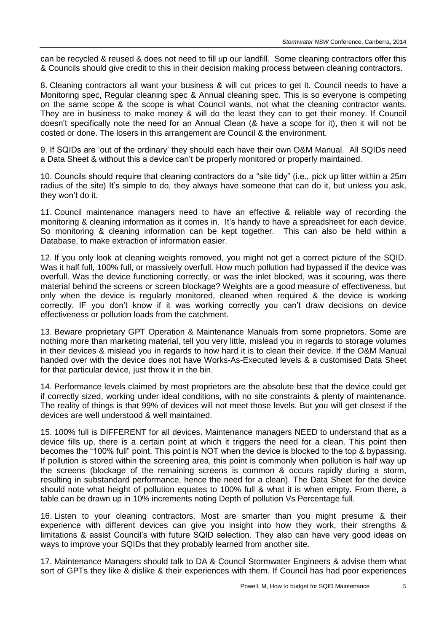can be recycled & reused & does not need to fill up our landfill. Some cleaning contractors offer this & Councils should give credit to this in their decision making process between cleaning contractors.

8. Cleaning contractors all want your business & will cut prices to get it. Council needs to have a Monitoring spec, Regular cleaning spec & Annual cleaning spec. This is so everyone is competing on the same scope & the scope is what Council wants, not what the cleaning contractor wants. They are in business to make money & will do the least they can to get their money. If Council doesn't specifically note the need for an Annual Clean (& have a scope for it), then it will not be costed or done. The losers in this arrangement are Council & the environment.

9. If SQIDs are 'out of the ordinary' they should each have their own O&M Manual. All SQIDs need a Data Sheet & without this a device can't be properly monitored or properly maintained.

10. Councils should require that cleaning contractors do a "site tidy" (i.e., pick up litter within a 25m radius of the site) It's simple to do, they always have someone that can do it, but unless you ask, they won't do it.

11. Council maintenance managers need to have an effective & reliable way of recording the monitoring & cleaning information as it comes in. It's handy to have a spreadsheet for each device. So monitoring & cleaning information can be kept together. This can also be held within a Database, to make extraction of information easier.

12. If you only look at cleaning weights removed, you might not get a correct picture of the SQID. Was it half full, 100% full, or massively overfull. How much pollution had bypassed if the device was overfull. Was the device functioning correctly, or was the inlet blocked, was it scouring, was there material behind the screens or screen blockage? Weights are a good measure of effectiveness, but only when the device is regularly monitored, cleaned when required & the device is working correctly. IF you don't know if it was working correctly you can't draw decisions on device effectiveness or pollution loads from the catchment.

13. Beware proprietary GPT Operation & Maintenance Manuals from some proprietors. Some are nothing more than marketing material, tell you very little, mislead you in regards to storage volumes in their devices & mislead you in regards to how hard it is to clean their device. If the O&M Manual handed over with the device does not have Works-As-Executed levels & a customised Data Sheet for that particular device, just throw it in the bin.

14. Performance levels claimed by most proprietors are the absolute best that the device could get if correctly sized, working under ideal conditions, with no site constraints & plenty of maintenance. The reality of things is that 99% of devices will not meet those levels. But you will get closest if the devices are well understood & well maintained.

15. 100% full is DIFFERENT for all devices. Maintenance managers NEED to understand that as a device fills up, there is a certain point at which it triggers the need for a clean. This point then becomes the "100% full" point. This point is NOT when the device is blocked to the top & bypassing. If pollution is stored within the screening area, this point is commonly when pollution is half way up the screens (blockage of the remaining screens is common & occurs rapidly during a storm, resulting in substandard performance, hence the need for a clean). The Data Sheet for the device should note what height of pollution equates to 100% full & what it is when empty. From there, a table can be drawn up in 10% increments noting Depth of pollution Vs Percentage full.

16. Listen to your cleaning contractors. Most are smarter than you might presume & their experience with different devices can give you insight into how they work, their strengths & limitations & assist Council's with future SQID selection. They also can have very good ideas on ways to improve your SQIDs that they probably learned from another site.

17. Maintenance Managers should talk to DA & Council Stormwater Engineers & advise them what sort of GPTs they like & dislike & their experiences with them. If Council has had poor experiences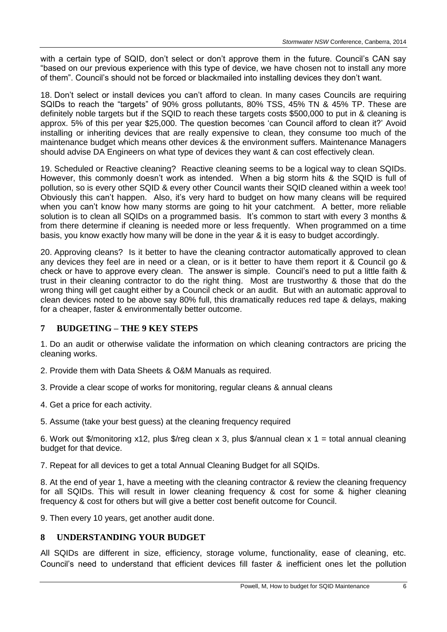with a certain type of SQID, don't select or don't approve them in the future. Council's CAN say "based on our previous experience with this type of device, we have chosen not to install any more of them". Council's should not be forced or blackmailed into installing devices they don't want.

18. Don't select or install devices you can't afford to clean. In many cases Councils are requiring SQIDs to reach the "targets" of 90% gross pollutants, 80% TSS, 45% TN & 45% TP. These are definitely noble targets but if the SQID to reach these targets costs \$500,000 to put in & cleaning is approx. 5% of this per year \$25,000. The question becomes 'can Council afford to clean it?' Avoid installing or inheriting devices that are really expensive to clean, they consume too much of the maintenance budget which means other devices & the environment suffers. Maintenance Managers should advise DA Engineers on what type of devices they want & can cost effectively clean.

19. Scheduled or Reactive cleaning? Reactive cleaning seems to be a logical way to clean SQIDs. However, this commonly doesn't work as intended. When a big storm hits & the SQID is full of pollution, so is every other SQID & every other Council wants their SQID cleaned within a week too! Obviously this can't happen. Also, it's very hard to budget on how many cleans will be required when you can't know how many storms are going to hit your catchment. A better, more reliable solution is to clean all SQIDs on a programmed basis. It's common to start with every 3 months & from there determine if cleaning is needed more or less frequently. When programmed on a time basis, you know exactly how many will be done in the year & it is easy to budget accordingly.

20. Approving cleans? Is it better to have the cleaning contractor automatically approved to clean any devices they feel are in need or a clean, or is it better to have them report it & Council go & check or have to approve every clean. The answer is simple. Council's need to put a little faith & trust in their cleaning contractor to do the right thing. Most are trustworthy & those that do the wrong thing will get caught either by a Council check or an audit. But with an automatic approval to clean devices noted to be above say 80% full, this dramatically reduces red tape & delays, making for a cheaper, faster & environmentally better outcome.

### **7 BUDGETING – THE 9 KEY STEPS**

1. Do an audit or otherwise validate the information on which cleaning contractors are pricing the cleaning works.

2. Provide them with Data Sheets & O&M Manuals as required.

3. Provide a clear scope of works for monitoring, regular cleans & annual cleans

4. Get a price for each activity.

5. Assume (take your best guess) at the cleaning frequency required

6. Work out \$/monitoring x12, plus \$/reg clean x 3, plus \$/annual clean x 1 = total annual cleaning budget for that device.

7. Repeat for all devices to get a total Annual Cleaning Budget for all SQIDs.

8. At the end of year 1, have a meeting with the cleaning contractor & review the cleaning frequency for all SQIDs. This will result in lower cleaning frequency & cost for some & higher cleaning frequency & cost for others but will give a better cost benefit outcome for Council.

9. Then every 10 years, get another audit done.

### **8 UNDERSTANDING YOUR BUDGET**

All SQIDs are different in size, efficiency, storage volume, functionality, ease of cleaning, etc. Council's need to understand that efficient devices fill faster & inefficient ones let the pollution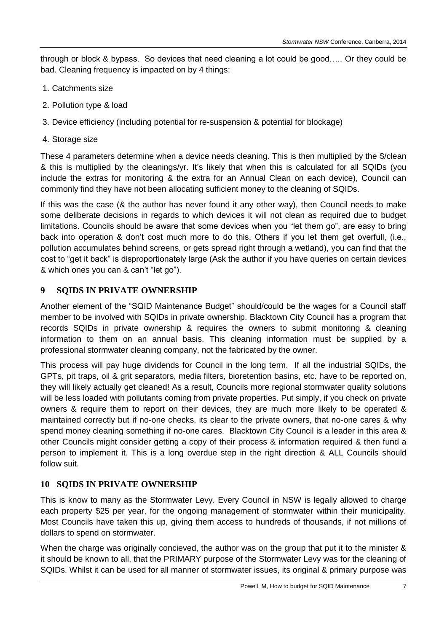through or block & bypass. So devices that need cleaning a lot could be good….. Or they could be bad. Cleaning frequency is impacted on by 4 things:

- 1. Catchments size
- 2. Pollution type & load
- 3. Device efficiency (including potential for re-suspension & potential for blockage)
- 4. Storage size

These 4 parameters determine when a device needs cleaning. This is then multiplied by the \$/clean & this is multiplied by the cleanings/yr. It's likely that when this is calculated for all SQIDs (you include the extras for monitoring & the extra for an Annual Clean on each device), Council can commonly find they have not been allocating sufficient money to the cleaning of SQIDs.

If this was the case (& the author has never found it any other way), then Council needs to make some deliberate decisions in regards to which devices it will not clean as required due to budget limitations. Councils should be aware that some devices when you "let them go", are easy to bring back into operation & don't cost much more to do this. Others if you let them get overfull, (i.e., pollution accumulates behind screens, or gets spread right through a wetland), you can find that the cost to "get it back" is disproportionately large (Ask the author if you have queries on certain devices & which ones you can & can't "let go").

# **9 SQIDS IN PRIVATE OWNERSHIP**

Another element of the "SQID Maintenance Budget" should/could be the wages for a Council staff member to be involved with SQIDs in private ownership. Blacktown City Council has a program that records SQIDs in private ownership & requires the owners to submit monitoring & cleaning information to them on an annual basis. This cleaning information must be supplied by a professional stormwater cleaning company, not the fabricated by the owner.

This process will pay huge dividends for Council in the long term. If all the industrial SQIDs, the GPTs, pit traps, oil & grit separators, media filters, bioretention basins, etc. have to be reported on, they will likely actually get cleaned! As a result, Councils more regional stormwater quality solutions will be less loaded with pollutants coming from private properties. Put simply, if you check on private owners & require them to report on their devices, they are much more likely to be operated & maintained correctly but if no-one checks, its clear to the private owners, that no-one cares & why spend money cleaning something if no-one cares. Blacktown City Council is a leader in this area & other Councils might consider getting a copy of their process & information required & then fund a person to implement it. This is a long overdue step in the right direction & ALL Councils should follow suit.

# **10 SQIDS IN PRIVATE OWNERSHIP**

This is know to many as the Stormwater Levy. Every Council in NSW is legally allowed to charge each property \$25 per year, for the ongoing management of stormwater within their municipality. Most Councils have taken this up, giving them access to hundreds of thousands, if not millions of dollars to spend on stormwater.

When the charge was originally concieved, the author was on the group that put it to the minister & it should be known to all, that the PRIMARY purpose of the Stormwater Levy was for the cleaning of SQIDs. Whilst it can be used for all manner of stormwater issues, its original & primary purpose was